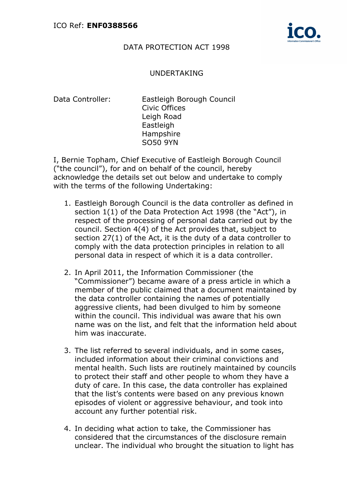

## DATA PROTECTION ACT 1998

## UNDERTAKING

Data Controller:

Eastleigh Borough Council Civic Offices Leigh Road **Eastleigh** Hampshire SO50 9YN

I, Bernie Topham, Chief Executive of Eastleigh Borough Council ("the council"), for and on behalf of the council, hereby acknowledge the details set out below and undertake to comply with the terms of the following Undertaking:

- 1. Eastleigh Borough Council is the data controller as defined in section 1(1) of the Data Protection Act 1998 (the "Act"), in respect of the processing of personal data carried out by the council. Section 4(4) of the Act provides that, subject to section 27(1) of the Act, it is the duty of a data controller to comply with the data protection principles in relation to all personal data in respect of which it is a data controller.
- 2. In April 2011, the Information Commissioner (the "Commissioner") became aware of a press article in which a member of the public claimed that a document maintained by the data controller containing the names of potentially aggressive clients, had been divulged to him by someone within the council. This individual was aware that his own name was on the list, and felt that the information held about him was inaccurate.
- 3. The list referred to several individuals, and in some cases, included information about their criminal convictions and mental health. Such lists are routinely maintained by councils to protect their staff and other people to whom they have a duty of care. In this case, the data controller has explained that the list's contents were based on any previous known episodes of violent or aggressive behaviour, and took into account any further potential risk.
- 4. In deciding what action to take, the Commissioner has considered that the circumstances of the disclosure remain unclear. The individual who brought the situation to light has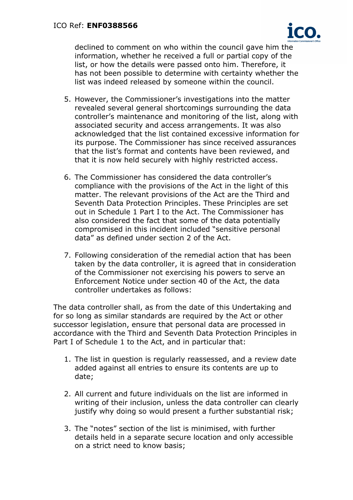

declined to comment on who within the council gave him the information, whether he received a full or partial copy of the list, or how the details were passed onto him. Therefore, it has not been possible to determine with certainty whether the list was indeed released by someone within the council.

- 5. However, the Commissioner's investigations into the matter revealed several general shortcomings surrounding the data controller's maintenance and monitoring of the list, along with associated security and access arrangements. It was also acknowledged that the list contained excessive information for its purpose. The Commissioner has since received assurances that the list's format and contents have been reviewed, and that it is now held securely with highly restricted access.
- 6. The Commissioner has considered the data controller's compliance with the provisions of the Act in the light of this matter. The relevant provisions of the Act are the Third and Seventh Data Protection Principles. These Principles are set out in Schedule 1 Part I to the Act. The Commissioner has also considered the fact that some of the data potentially compromised in this incident included "sensitive personal data" as defined under section 2 of the Act.
- 7. Following consideration of the remedial action that has been taken by the data controller, it is agreed that in consideration of the Commissioner not exercising his powers to serve an Enforcement Notice under section 40 of the Act, the data controller undertakes as follows:

The data controller shall, as from the date of this Undertaking and for so long as similar standards are required by the Act or other successor legislation, ensure that personal data are processed in accordance with the Third and Seventh Data Protection Principles in Part I of Schedule 1 to the Act, and in particular that:

- 1. The list in question is regularly reassessed, and a review date added against all entries to ensure its contents are up to date;
- 2. All current and future individuals on the list are informed in writing of their inclusion, unless the data controller can clearly justify why doing so would present a further substantial risk;
- 3. The "notes" section of the list is minimised, with further details held in a separate secure location and only accessible on a strict need to know basis;